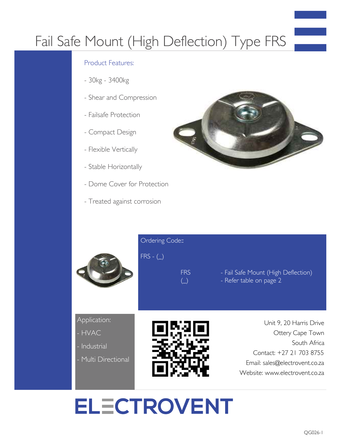## Fail Safe Mount (High Deflection) Type FRS

#### Product Features:

- 30kg 3400kg
- Shear and Compression
- Failsafe Protection
- Compact Design
- Flexible Vertically
- Stable Horizontally

**Industrial** 

Multi Directional

- Dome Cover for Protection
- Treated against corrosion



|                        | Ordering Code::<br>$FRS - (\_)$<br><b>FRS</b><br>$(\_)$ | - Fail Safe Mount (High Deflection)<br>- Refer table on page 2 |  |  |
|------------------------|---------------------------------------------------------|----------------------------------------------------------------|--|--|
| Application:<br>- HVAC | LA II                                                   | Unit 9, 20 Harris Drive<br>Ottery Cape Town<br>$Schth$ Africa  |  |  |

 South Africa Contact: +27 21 703 8755 Email: sales@electrovent.co.za Website: www.electrovent.co.za

# **ELECTROVENT**